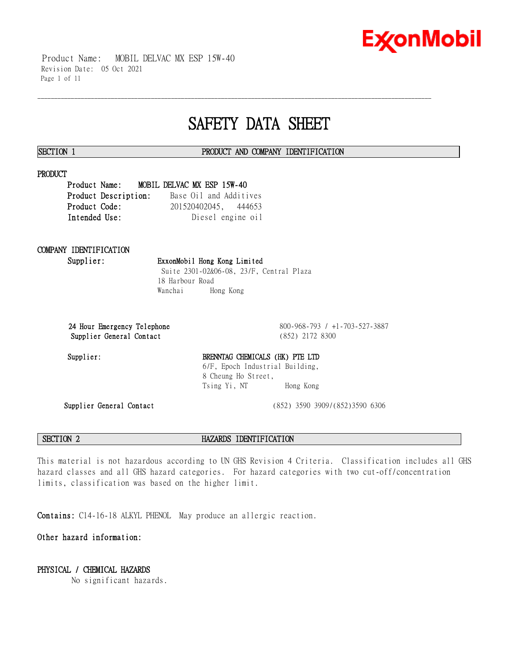

 Product Name: MOBIL DELVAC MX ESP 15W-40 Revision Date: 05 Oct 2021 Page 1 of 11

# **SAFETY DATA SHEET**

\_\_\_\_\_\_\_\_\_\_\_\_\_\_\_\_\_\_\_\_\_\_\_\_\_\_\_\_\_\_\_\_\_\_\_\_\_\_\_\_\_\_\_\_\_\_\_\_\_\_\_\_\_\_\_\_\_\_\_\_\_\_\_\_\_\_\_\_\_\_\_\_\_\_\_\_\_\_\_\_\_\_\_\_\_\_\_\_\_\_\_\_\_\_\_\_\_\_\_\_\_\_\_\_\_\_\_\_\_\_\_\_\_\_\_\_\_\_

#### **SECTION 1 PRODUCT AND COMPANY IDENTIFICATION**

#### **PRODUCT**

**Product Name: MOBIL DELVAC MX ESP 15W-40 Product Description:** Base Oil and Additives **Product Code:** 201520402045, 444653 **Intended Use:** Diesel engine oil

## **COMPANY IDENTIFICATION**

**Supplier: ExxonMobil Hong Kong Limited** Suite 2301-02&06-08, 23/F, Central Plaza 18 Harbour Road Wanchai Hong Kong

**24 Hour Emergency Telephone** 800-968-793 / +1-703-527-3887 **Supplier General Contact** (852) 2172 8300

### Supplier: BRENNTAG CHEMICALS (HK) PTE LTD 6/F, Epoch Industrial Building, 8 Cheung Ho Street, Tsing Yi, NT Hong Kong

**Supplier General Contact** (852) 3590 3909/(852)3590 6306

**SECTION 2 HAZARDS IDENTIFICATION**

This material is not hazardous according to UN GHS Revision 4 Criteria. Classification includes all GHS hazard classes and all GHS hazard categories. For hazard categories with two cut-off/concentration limits, classification was based on the higher limit.

**Contains:** C14-16-18 ALKYL PHENOL May produce an allergic reaction.

**Other hazard information:**

### **PHYSICAL / CHEMICAL HAZARDS**

No significant hazards.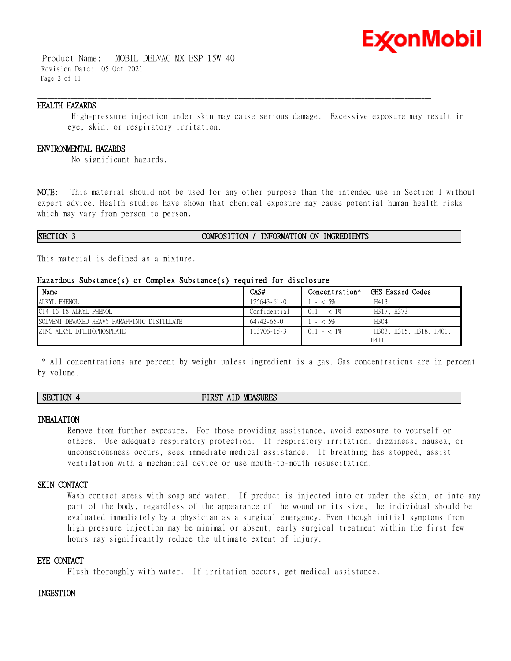

 Product Name: MOBIL DELVAC MX ESP 15W-40 Revision Date: 05 Oct 2021 Page 2 of 11

#### **HEALTH HAZARDS**

High-pressure injection under skin may cause serious damage. Excessive exposure may result in eye, skin, or respiratory irritation.

\_\_\_\_\_\_\_\_\_\_\_\_\_\_\_\_\_\_\_\_\_\_\_\_\_\_\_\_\_\_\_\_\_\_\_\_\_\_\_\_\_\_\_\_\_\_\_\_\_\_\_\_\_\_\_\_\_\_\_\_\_\_\_\_\_\_\_\_\_\_\_\_\_\_\_\_\_\_\_\_\_\_\_\_\_\_\_\_\_\_\_\_\_\_\_\_\_\_\_\_\_\_\_\_\_\_\_\_\_\_\_\_\_\_\_\_\_\_

#### **ENVIRONMENTAL HAZARDS**

No significant hazards.

**NOTE:** This material should not be used for any other purpose than the intended use in Section 1 without expert advice. Health studies have shown that chemical exposure may cause potential human health risks which may vary from person to person.

#### **SECTION 3 COMPOSITION / INFORMATION ON INGREDIENTS**

This material is defined as a mixture.

#### **Hazardous Substance(s) or Complex Substance(s) required for disclosure**

| Name                                        | CAS#              | Concentration* | GHS Hazard Codes        |
|---------------------------------------------|-------------------|----------------|-------------------------|
| ALKYL PHENOL                                | $125643 - 61 - 0$ | $-$ < 5%       | H413                    |
| C14-16-18 ALKYL PHENOL                      | Confidential      | $0.1 - < 1\%$  | H317, H373              |
| SOLVENT DEWAXED HEAVY PARAFFINIC DISTILLATE | 64742-65-0        | $-5\%$         | H304                    |
| ZINC ALKYL DITHIOPHOSPHATE                  | 113706-15-3       | $0.1 - < 1\%$  | H303, H315, H318, H401, |
|                                             |                   |                | H411                    |

\* All concentrations are percent by weight unless ingredient is a gas. Gas concentrations are in percent by volume.

### **SECTION 4 FIRST AID MEASURES**

#### **INHALATION**

Remove from further exposure. For those providing assistance, avoid exposure to yourself or others. Use adequate respiratory protection. If respiratory irritation, dizziness, nausea, or unconsciousness occurs, seek immediate medical assistance. If breathing has stopped, assist ventilation with a mechanical device or use mouth-to-mouth resuscitation.

#### **SKIN CONTACT**

Wash contact areas with soap and water. If product is injected into or under the skin, or into any part of the body, regardless of the appearance of the wound or its size, the individual should be evaluated immediately by a physician as a surgical emergency. Even though initial symptoms from high pressure injection may be minimal or absent, early surgical treatment within the first few hours may significantly reduce the ultimate extent of injury.

#### **EYE CONTACT**

Flush thoroughly with water. If irritation occurs, get medical assistance.

#### **INGESTION**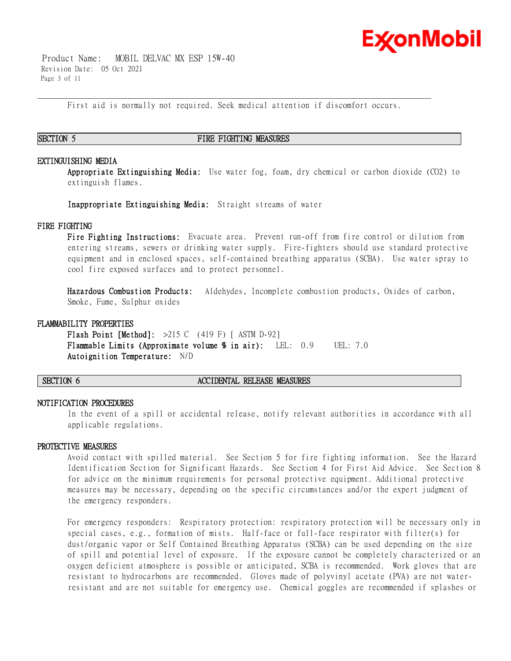

 Product Name: MOBIL DELVAC MX ESP 15W-40 Revision Date: 05 Oct 2021 Page 3 of 11

\_\_\_\_\_\_\_\_\_\_\_\_\_\_\_\_\_\_\_\_\_\_\_\_\_\_\_\_\_\_\_\_\_\_\_\_\_\_\_\_\_\_\_\_\_\_\_\_\_\_\_\_\_\_\_\_\_\_\_\_\_\_\_\_\_\_\_\_\_\_\_\_\_\_\_\_\_\_\_\_\_\_\_\_\_\_\_\_\_\_\_\_\_\_\_\_\_\_\_\_\_\_\_\_\_\_\_\_\_\_\_\_\_\_\_\_\_\_ First aid is normally not required. Seek medical attention if discomfort occurs.

#### **SECTION 5 FIRE FIGHTING MEASURES**

#### **EXTINGUISHING MEDIA**

**Appropriate Extinguishing Media:** Use water fog, foam, dry chemical or carbon dioxide (CO2) to extinguish flames.

**Inappropriate Extinguishing Media:** Straight streams of water

#### **FIRE FIGHTING**

**Fire Fighting Instructions:** Evacuate area. Prevent run-off from fire control or dilution from entering streams, sewers or drinking water supply. Fire-fighters should use standard protective equipment and in enclosed spaces, self-contained breathing apparatus (SCBA). Use water spray to cool fire exposed surfaces and to protect personnel.

**Hazardous Combustion Products:** Aldehydes, Incomplete combustion products, Oxides of carbon, Smoke, Fume, Sulphur oxides

#### **FLAMMABILITY PROPERTIES**

**Flash Point [Method]:** >215 C (419 F) [ ASTM D-92] **Flammable Limits (Approximate volume % in air):** LEL: 0.9 UEL: 7.0 **Autoignition Temperature:** N/D

#### **SECTION 6 ACCIDENTAL RELEASE MEASURES**

#### **NOTIFICATION PROCEDURES**

In the event of a spill or accidental release, notify relevant authorities in accordance with all applicable regulations.

#### **PROTECTIVE MEASURES**

Avoid contact with spilled material. See Section 5 for fire fighting information. See the Hazard Identification Section for Significant Hazards. See Section 4 for First Aid Advice. See Section 8 for advice on the minimum requirements for personal protective equipment. Additional protective measures may be necessary, depending on the specific circumstances and/or the expert judgment of the emergency responders.

For emergency responders: Respiratory protection: respiratory protection will be necessary only in special cases, e.g., formation of mists. Half-face or full-face respirator with filter(s) for dust/organic vapor or Self Contained Breathing Apparatus (SCBA) can be used depending on the size of spill and potential level of exposure. If the exposure cannot be completely characterized or an oxygen deficient atmosphere is possible or anticipated, SCBA is recommended. Work gloves that are resistant to hydrocarbons are recommended. Gloves made of polyvinyl acetate (PVA) are not waterresistant and are not suitable for emergency use. Chemical goggles are recommended if splashes or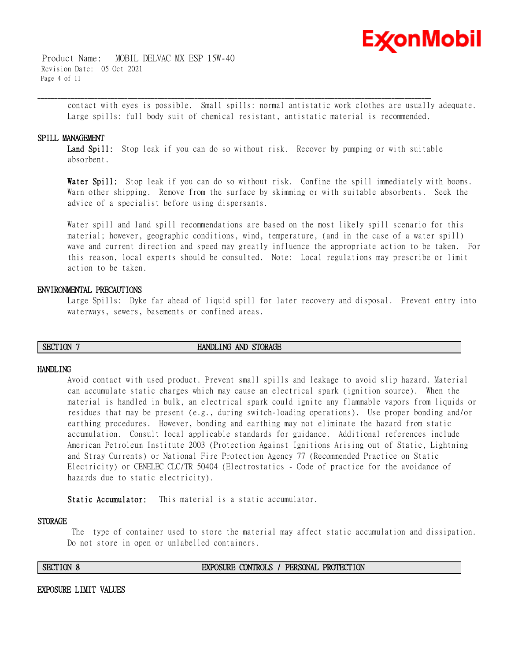

 Product Name: MOBIL DELVAC MX ESP 15W-40 Revision Date: 05 Oct 2021 Page 4 of 11

> contact with eyes is possible. Small spills: normal antistatic work clothes are usually adequate. Large spills: full body suit of chemical resistant, antistatic material is recommended.

#### **SPILL MANAGEMENT**

Land Spill: Stop leak if you can do so without risk. Recover by pumping or with suitable absorbent.

\_\_\_\_\_\_\_\_\_\_\_\_\_\_\_\_\_\_\_\_\_\_\_\_\_\_\_\_\_\_\_\_\_\_\_\_\_\_\_\_\_\_\_\_\_\_\_\_\_\_\_\_\_\_\_\_\_\_\_\_\_\_\_\_\_\_\_\_\_\_\_\_\_\_\_\_\_\_\_\_\_\_\_\_\_\_\_\_\_\_\_\_\_\_\_\_\_\_\_\_\_\_\_\_\_\_\_\_\_\_\_\_\_\_\_\_\_\_

**Water Spill:** Stop leak if you can do so without risk. Confine the spill immediately with booms. Warn other shipping. Remove from the surface by skimming or with suitable absorbents. Seek the advice of a specialist before using dispersants.

Water spill and land spill recommendations are based on the most likely spill scenario for this material; however, geographic conditions, wind, temperature, (and in the case of a water spill) wave and current direction and speed may greatly influence the appropriate action to be taken. For this reason, local experts should be consulted. Note: Local regulations may prescribe or limit action to be taken.

#### **ENVIRONMENTAL PRECAUTIONS**

Large Spills: Dyke far ahead of liquid spill for later recovery and disposal. Prevent entry into waterways, sewers, basements or confined areas.

### **SECTION 7 HANDLING AND STORAGE**

#### **HANDLING**

Avoid contact with used product. Prevent small spills and leakage to avoid slip hazard. Material can accumulate static charges which may cause an electrical spark (ignition source). When the material is handled in bulk, an electrical spark could ignite any flammable vapors from liquids or residues that may be present (e.g., during switch-loading operations). Use proper bonding and/or earthing procedures. However, bonding and earthing may not eliminate the hazard from static accumulation. Consult local applicable standards for guidance. Additional references include American Petroleum Institute 2003 (Protection Against Ignitions Arising out of Static, Lightning and Stray Currents) or National Fire Protection Agency 77 (Recommended Practice on Static Electricity) or CENELEC CLC/TR 50404 (Electrostatics - Code of practice for the avoidance of hazards due to static electricity).

**Static Accumulator:** This material is a static accumulator.

#### **STORAGE**

The type of container used to store the material may affect static accumulation and dissipation. Do not store in open or unlabelled containers.

#### **SECTION 8 EXPOSURE CONTROLS / PERSONAL PROTECTION**

**EXPOSURE LIMIT VALUES**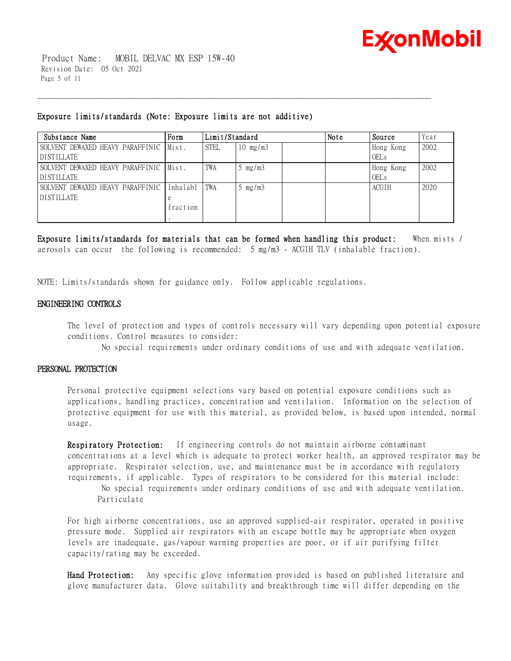

 Product Name: MOBIL DELVAC MX ESP 15W-40 Revision Date: 05 Oct 2021 Page 5 of 11

#### **Exposure limits/standards (Note: Exposure limits are not additive)**

| Substance Name                          | Form     | Limit/Standard |                   | Note | Source | Year         |      |
|-----------------------------------------|----------|----------------|-------------------|------|--------|--------------|------|
| SOLVENT DEWAXED HEAVY PARAFFINIC Mist.  |          | <b>STEL</b>    | $10 \text{ mg/m}$ |      |        | Hong Kong    | 2002 |
| <b>DISTILLATE</b>                       |          |                |                   |      |        | <b>OELs</b>  |      |
| SOLVENT DEWAXED HEAVY PARAFFINIC IMist. |          | TWA            | mg/m3             |      |        | Hong Kong    | 2002 |
| <b>DISTILLATE</b>                       |          |                |                   |      |        | <b>OELs</b>  |      |
| SOLVENT DEWAXED HEAVY PARAFFINIC        | Inhalabl | <b>TWA</b>     | mg/m3             |      |        | <b>ACGIH</b> | 2020 |
| <b>DISTILLATE</b>                       |          |                |                   |      |        |              |      |
|                                         | fraction |                |                   |      |        |              |      |
|                                         |          |                |                   |      |        |              |      |

\_\_\_\_\_\_\_\_\_\_\_\_\_\_\_\_\_\_\_\_\_\_\_\_\_\_\_\_\_\_\_\_\_\_\_\_\_\_\_\_\_\_\_\_\_\_\_\_\_\_\_\_\_\_\_\_\_\_\_\_\_\_\_\_\_\_\_\_\_\_\_\_\_\_\_\_\_\_\_\_\_\_\_\_\_\_\_\_\_\_\_\_\_\_\_\_\_\_\_\_\_\_\_\_\_\_\_\_\_\_\_\_\_\_\_\_\_\_

**Exposure limits/standards for materials that can be formed when handling this product:** When mists / aerosols can occur the following is recommended: 5 mg/m3 - ACGIH TLV (inhalable fraction).

NOTE: Limits/standards shown for guidance only. Follow applicable regulations.

#### **ENGINEERING CONTROLS**

The level of protection and types of controls necessary will vary depending upon potential exposure conditions. Control measures to consider:

No special requirements under ordinary conditions of use and with adequate ventilation.

#### **PERSONAL PROTECTION**

Personal protective equipment selections vary based on potential exposure conditions such as applications, handling practices, concentration and ventilation. Information on the selection of protective equipment for use with this material, as provided below, is based upon intended, normal usage.

**Respiratory Protection:** If engineering controls do not maintain airborne contaminant concentrations at a level which is adequate to protect worker health, an approved respirator may be appropriate. Respirator selection, use, and maintenance must be in accordance with regulatory requirements, if applicable. Types of respirators to be considered for this material include:

No special requirements under ordinary conditions of use and with adequate ventilation. Particulate

For high airborne concentrations, use an approved supplied-air respirator, operated in positive pressure mode. Supplied air respirators with an escape bottle may be appropriate when oxygen levels are inadequate, gas/vapour warning properties are poor, or if air purifying filter capacity/rating may be exceeded.

**Hand Protection:** Any specific glove information provided is based on published literature and glove manufacturer data. Glove suitability and breakthrough time will differ depending on the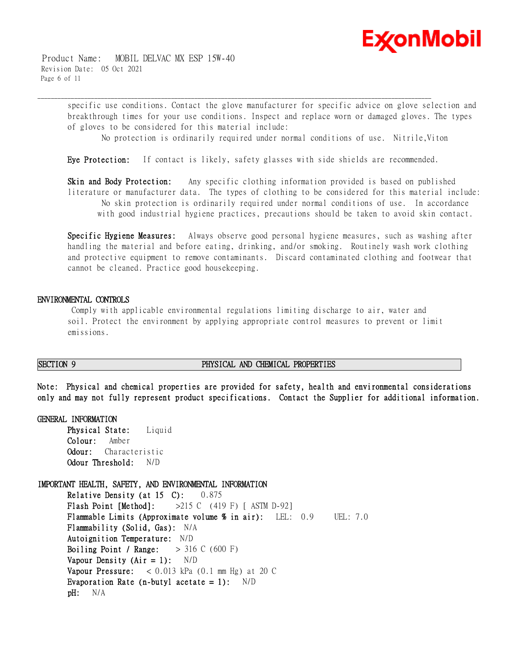

 Product Name: MOBIL DELVAC MX ESP 15W-40 Revision Date: 05 Oct 2021 Page 6 of 11

> specific use conditions. Contact the glove manufacturer for specific advice on glove selection and breakthrough times for your use conditions. Inspect and replace worn or damaged gloves. The types of gloves to be considered for this material include:

No protection is ordinarily required under normal conditions of use. Nitrile,Viton

**Eye Protection:** If contact is likely, safety glasses with side shields are recommended.

\_\_\_\_\_\_\_\_\_\_\_\_\_\_\_\_\_\_\_\_\_\_\_\_\_\_\_\_\_\_\_\_\_\_\_\_\_\_\_\_\_\_\_\_\_\_\_\_\_\_\_\_\_\_\_\_\_\_\_\_\_\_\_\_\_\_\_\_\_\_\_\_\_\_\_\_\_\_\_\_\_\_\_\_\_\_\_\_\_\_\_\_\_\_\_\_\_\_\_\_\_\_\_\_\_\_\_\_\_\_\_\_\_\_\_\_\_\_

**Skin and Body Protection:** Any specific clothing information provided is based on published literature or manufacturer data. The types of clothing to be considered for this material include: No skin protection is ordinarily required under normal conditions of use. In accordance with good industrial hygiene practices, precautions should be taken to avoid skin contact.

**Specific Hygiene Measures:** Always observe good personal hygiene measures, such as washing after handling the material and before eating, drinking, and/or smoking. Routinely wash work clothing and protective equipment to remove contaminants. Discard contaminated clothing and footwear that cannot be cleaned. Practice good housekeeping.

#### **ENVIRONMENTAL CONTROLS**

Comply with applicable environmental regulations limiting discharge to air, water and soil. Protect the environment by applying appropriate control measures to prevent or limit emissions.

#### **SECTION 9 PHYSICAL AND CHEMICAL PROPERTIES**

**Note: Physical and chemical properties are provided for safety, health and environmental considerations only and may not fully represent product specifications. Contact the Supplier for additional information.**

#### **GENERAL INFORMATION Physical State:** Liquid

**Colour:** Amber **Odour:** Characteristic **Odour Threshold:** N/D

#### **IMPORTANT HEALTH, SAFETY, AND ENVIRONMENTAL INFORMATION**

**Relative Density (at 15 C):** 0.875 **Flash Point [Method]:** >215 C (419 F) [ ASTM D-92] **Flammable Limits (Approximate volume % in air):** LEL: 0.9 UEL: 7.0 **Flammability (Solid, Gas):** N/A **Autoignition Temperature:** N/D **Boiling Point / Range:** > 316 C (600 F) **Vapour Density (Air = 1):** N/D **Vapour Pressure:** < 0.013 kPa (0.1 mm Hg) at 20 C **Evaporation Rate (n-butyl acetate = 1):** N/D **pH:** N/A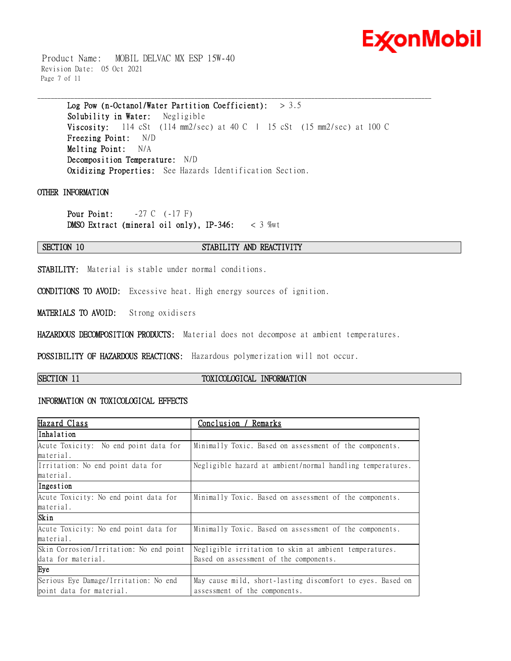

 Product Name: MOBIL DELVAC MX ESP 15W-40 Revision Date: 05 Oct 2021 Page 7 of 11

**Log Pow (n-Octanol/Water Partition Coefficient):** > 3.5

**Solubility in Water:** Negligible **Viscosity:** 114 cSt (114 mm2/sec) at 40 C | 15 cSt (15 mm2/sec) at 100 C **Freezing Point:** N/D **Melting Point:** N/A **Decomposition Temperature:** N/D **Oxidizing Properties:** See Hazards Identification Section.

\_\_\_\_\_\_\_\_\_\_\_\_\_\_\_\_\_\_\_\_\_\_\_\_\_\_\_\_\_\_\_\_\_\_\_\_\_\_\_\_\_\_\_\_\_\_\_\_\_\_\_\_\_\_\_\_\_\_\_\_\_\_\_\_\_\_\_\_\_\_\_\_\_\_\_\_\_\_\_\_\_\_\_\_\_\_\_\_\_\_\_\_\_\_\_\_\_\_\_\_\_\_\_\_\_\_\_\_\_\_\_\_\_\_\_\_\_\_

#### **OTHER INFORMATION**

**Pour Point:**  $-27 \text{ C} \quad (-17 \text{ F})$ **DMSO Extract (mineral oil only), IP-346:** < 3 %wt

#### **SECTION 10 STABILITY AND REACTIVITY**

**STABILITY:** Material is stable under normal conditions.

**CONDITIONS TO AVOID:** Excessive heat. High energy sources of ignition.

**MATERIALS TO AVOID:** Strong oxidisers

**HAZARDOUS DECOMPOSITION PRODUCTS:** Material does not decompose at ambient temperatures.

**POSSIBILITY OF HAZARDOUS REACTIONS:** Hazardous polymerization will not occur.

### **SECTION 11 TOXICOLOGICAL INFORMATION**

### **INFORMATION ON TOXICOLOGICAL EFFECTS**

| Hazard Class                            | <u>Conclusion /</u><br><u>Remarks</u>                      |  |
|-----------------------------------------|------------------------------------------------------------|--|
| Inhalation                              |                                                            |  |
| Acute Toxicity: No end point data for   | Minimally Toxic. Based on assessment of the components.    |  |
| material.                               |                                                            |  |
| Irritation: No end point data for       | Negligible hazard at ambient/normal handling temperatures. |  |
| material.                               |                                                            |  |
| Ingestion                               |                                                            |  |
| Acute Toxicity: No end point data for   | Minimally Toxic. Based on assessment of the components.    |  |
| material.                               |                                                            |  |
| Skin                                    |                                                            |  |
| Acute Toxicity: No end point data for   | Minimally Toxic. Based on assessment of the components.    |  |
| material.                               |                                                            |  |
| Skin Corrosion/Irritation: No end point | Negligible irritation to skin at ambient temperatures.     |  |
| data for material.                      | Based on assessment of the components.                     |  |
| Eye                                     |                                                            |  |
| Serious Eye Damage/Irritation: No end   | May cause mild, short-lasting discomfort to eyes. Based on |  |
| point data for material.                | assessment of the components.                              |  |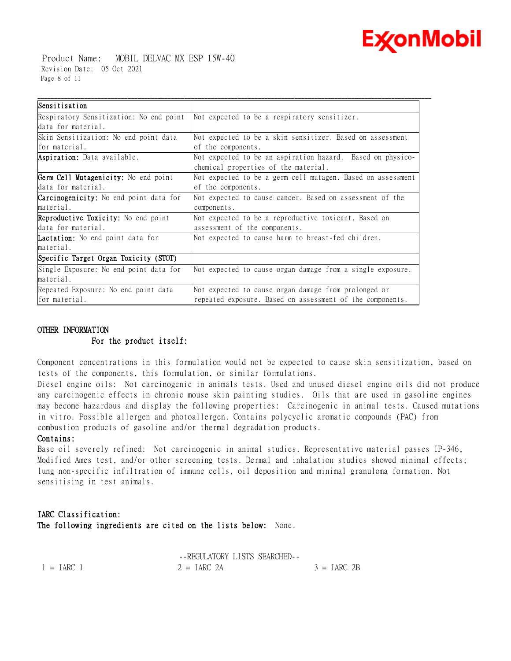

 Product Name: MOBIL DELVAC MX ESP 15W-40 Revision Date: 05 Oct 2021 Page 8 of 11

| Sensitisation                                 |                                                             |  |
|-----------------------------------------------|-------------------------------------------------------------|--|
| Respiratory Sensitization: No end point       | Not expected to be a respiratory sensitizer.                |  |
| data for material.                            |                                                             |  |
| Skin Sensitization: No end point data         | Not expected to be a skin sensitizer. Based on assessment   |  |
| for material.                                 | of the components.                                          |  |
| Aspiration: Data available.                   | Not expected to be an aspiration hazard. Based on physico-  |  |
|                                               | chemical properties of the material.                        |  |
| Germ Cell Mutagenicity: No end point          | Not expected to be a germ cell mutagen. Based on assessment |  |
| data for material.                            | of the components.                                          |  |
| <b>Carcinogenicity:</b> No end point data for | Not expected to cause cancer. Based on assessment of the    |  |
| material.                                     | components.                                                 |  |
| <b>Reproductive Toxicity:</b> No end point    | Not expected to be a reproductive toxicant. Based on        |  |
| data for material.                            | assessment of the components.                               |  |
| Lactation: No end point data for              | Not expected to cause harm to breast-fed children.          |  |
| material.                                     |                                                             |  |
| Specific Target Organ Toxicity (STOT)         |                                                             |  |
| Single Exposure: No end point data for        | Not expected to cause organ damage from a single exposure.  |  |
| material.                                     |                                                             |  |
| Repeated Exposure: No end point data          | Not expected to cause organ damage from prolonged or        |  |
| for material.                                 | repeated exposure. Based on assessment of the components.   |  |

#### **OTHER INFORMATION**

#### **For the product itself:**

Component concentrations in this formulation would not be expected to cause skin sensitization, based on tests of the components, this formulation, or similar formulations.

Diesel engine oils: Not carcinogenic in animals tests. Used and unused diesel engine oils did not produce any carcinogenic effects in chronic mouse skin painting studies. Oils that are used in gasoline engines may become hazardous and display the following properties: Carcinogenic in animal tests. Caused mutations in vitro. Possible allergen and photoallergen. Contains polycyclic aromatic compounds (PAC) from combustion products of gasoline and/or thermal degradation products.

#### **Contains:**

Base oil severely refined: Not carcinogenic in animal studies. Representative material passes IP-346, Modified Ames test, and/or other screening tests. Dermal and inhalation studies showed minimal effects; lung non-specific infiltration of immune cells, oil deposition and minimal granuloma formation. Not sensitising in test animals.

### **IARC Classification: The following ingredients are cited on the lists below:** None.

|              | -FREGULATORY LISTS SEARCHED- |               |
|--------------|------------------------------|---------------|
| $1 = IARC 1$ | $2 = IARC 2A$                | $3 = IARC$ 2B |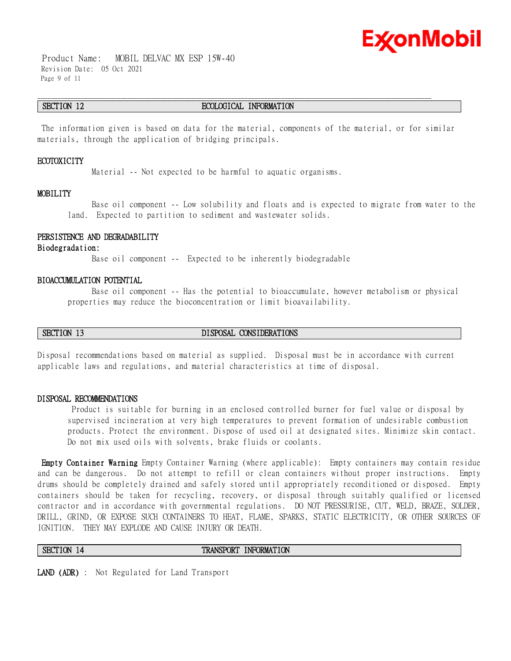

 Product Name: MOBIL DELVAC MX ESP 15W-40 Revision Date: 05 Oct 2021 Page 9 of 11

#### **SECTION 12 ECOLOGICAL INFORMATION**

\_\_\_\_\_\_\_\_\_\_\_\_\_\_\_\_\_\_\_\_\_\_\_\_\_\_\_\_\_\_\_\_\_\_\_\_\_\_\_\_\_\_\_\_\_\_\_\_\_\_\_\_\_\_\_\_\_\_\_\_\_\_\_\_\_\_\_\_\_\_\_\_\_\_\_\_\_\_\_\_\_\_\_\_\_\_\_\_\_\_\_\_\_\_\_\_\_\_\_\_\_\_\_\_\_\_\_\_\_\_\_\_\_\_\_\_\_\_

The information given is based on data for the material, components of the material, or for similar materials, through the application of bridging principals.

#### **ECOTOXICITY**

Material -- Not expected to be harmful to aquatic organisms.

#### **MOBILITY**

 Base oil component -- Low solubility and floats and is expected to migrate from water to the land. Expected to partition to sediment and wastewater solids.

#### **PERSISTENCE AND DEGRADABILITY**

#### **Biodegradation:**

Base oil component -- Expected to be inherently biodegradable

#### **BIOACCUMULATION POTENTIAL**

 Base oil component -- Has the potential to bioaccumulate, however metabolism or physical properties may reduce the bioconcentration or limit bioavailability.

#### **SECTION 13 DISPOSAL CONSIDERATIONS**

Disposal recommendations based on material as supplied. Disposal must be in accordance with current applicable laws and regulations, and material characteristics at time of disposal.

#### **DISPOSAL RECOMMENDATIONS**

Product is suitable for burning in an enclosed controlled burner for fuel value or disposal by supervised incineration at very high temperatures to prevent formation of undesirable combustion products. Protect the environment. Dispose of used oil at designated sites. Minimize skin contact. Do not mix used oils with solvents, brake fluids or coolants.

**Empty Container Warning** Empty Container Warning (where applicable): Empty containers may contain residue and can be dangerous. Do not attempt to refill or clean containers without proper instructions. Empty drums should be completely drained and safely stored until appropriately reconditioned or disposed. Empty containers should be taken for recycling, recovery, or disposal through suitably qualified or licensed contractor and in accordance with governmental regulations. DO NOT PRESSURISE, CUT, WELD, BRAZE, SOLDER, DRILL, GRIND, OR EXPOSE SUCH CONTAINERS TO HEAT, FLAME, SPARKS, STATIC ELECTRICITY, OR OTHER SOURCES OF IGNITION. THEY MAY EXPLODE AND CAUSE INJURY OR DEATH.

#### **SECTION 14 TRANSPORT INFORMATION**

**LAND (ADR)** : Not Regulated for Land Transport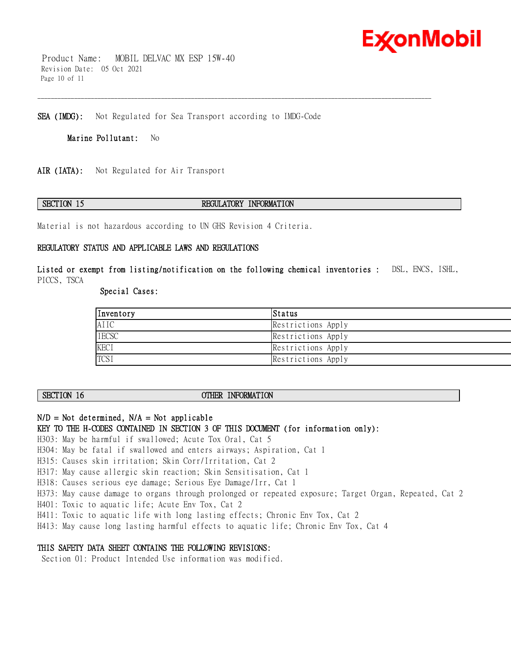

 Product Name: MOBIL DELVAC MX ESP 15W-40 Revision Date: 05 Oct 2021 Page 10 of 11

**SEA (IMDG):** Not Regulated for Sea Transport according to IMDG-Code

**Marine Pollutant:** No

**AIR (IATA):** Not Regulated for Air Transport

#### **SECTION 15 REGULATORY INFORMATION**

\_\_\_\_\_\_\_\_\_\_\_\_\_\_\_\_\_\_\_\_\_\_\_\_\_\_\_\_\_\_\_\_\_\_\_\_\_\_\_\_\_\_\_\_\_\_\_\_\_\_\_\_\_\_\_\_\_\_\_\_\_\_\_\_\_\_\_\_\_\_\_\_\_\_\_\_\_\_\_\_\_\_\_\_\_\_\_\_\_\_\_\_\_\_\_\_\_\_\_\_\_\_\_\_\_\_\_\_\_\_\_\_\_\_\_\_\_\_

Material is not hazardous according to UN GHS Revision 4 Criteria.

#### **REGULATORY STATUS AND APPLICABLE LAWS AND REGULATIONS**

**Listed or exempt from listing/notification on the following chemical inventories :** DSL, ENCS, ISHL, PICCS, TSCA

 **Special Cases:** 

| Inventory    | Status             |
|--------------|--------------------|
| AIIC         | Restrictions Apply |
| <b>IECSC</b> | Restrictions Apply |
| <b>KECI</b>  | Restrictions Apply |
| <b>TCSI</b>  | Restrictions Apply |

### **SECTION 16 OTHER INFORMATION**

### **N/D = Not determined, N/A = Not applicable**

**KEY TO THE H-CODES CONTAINED IN SECTION 3 OF THIS DOCUMENT (for information only):**

H303: May be harmful if swallowed; Acute Tox Oral, Cat 5

- H304: May be fatal if swallowed and enters airways; Aspiration, Cat 1
- H315: Causes skin irritation; Skin Corr/Irritation, Cat 2

H317: May cause allergic skin reaction; Skin Sensitisation, Cat 1

- H318: Causes serious eye damage; Serious Eye Damage/Irr, Cat 1
- H373: May cause damage to organs through prolonged or repeated exposure; Target Organ, Repeated, Cat 2

H401: Toxic to aquatic life; Acute Env Tox, Cat 2

- H411: Toxic to aquatic life with long lasting effects; Chronic Env Tox, Cat 2
- H413: May cause long lasting harmful effects to aquatic life; Chronic Env Tox, Cat 4

#### **THIS SAFETY DATA SHEET CONTAINS THE FOLLOWING REVISIONS:**

Section 01: Product Intended Use information was modified.